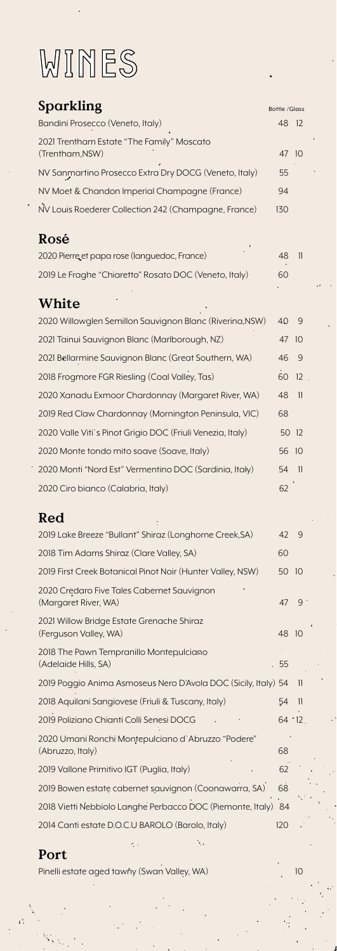# WINES

| Sparkling                                                              | Bottle / Glass |                          |
|------------------------------------------------------------------------|----------------|--------------------------|
| Bandini Prosecco (Veneto, Italy)                                       | 48             | 12                       |
| 2021 Trentham Estate "The Family" Moscato<br>(Trentham,NSW)            | 47             | 10                       |
| NV Sanmartino Prosecco Extra Dry DOCG (Veneto, Italy)                  | 55             |                          |
| NV Moet & Chandon Imperial Champagne (France)                          | 94             |                          |
| NV Louis Roederer Collection 242 (Champagne, France)                   | 130            |                          |
| Rosé                                                                   |                |                          |
| 2020 Pierre et papa rose (languedoc, France)                           | 48             | $\overline{\mathsf{l}}$  |
| 2019 Le Fraghe "Chiaretto" Rosato DOC (Veneto, Italy)                  | 60             |                          |
| White                                                                  |                |                          |
| 2020 Willowglen Semillon Sauvignon Blanc (Riverina, NSW)               | 40             | 9                        |
| 2021 Tainui Sauvignon Blanc (Marlborough, NZ)                          | 47             | 10                       |
| 2021 Bellarmine Sauvignon Blanc (Great Southern, WA)                   | 46             | 9                        |
| 2018 Frogmore FGR Riesling (Coal Valley, Tas)                          | 60             | 12                       |
| 2020 Xanadu Exmoor Chardonnay (Margaret River, WA)                     | 48             | $\overline{\mathbf{1}}$  |
| 2019 Red Claw Chardonnay (Mornington Peninsula, VIC)                   | 68             |                          |
| 2020 Valle Viti's Pinot Grigio DOC (Friuli Venezia, Italy)             | 50             | 12                       |
| 2020 Monte tondo mito soave (Soave, Italy)                             | 56             | 10                       |
| 2020 Monti "Nord Est" Vermentino DOC (Sardinia, Italy)                 | 54             | $\overline{\phantom{1}}$ |
| 2020 Ciro bianco (Calabria, Italy)                                     | 62             |                          |
| Red                                                                    |                |                          |
| 2019 Lake Breeze "Bullant" Shiraz (Longhorne Creek, SA)                | 42             | 9                        |
| 2018 Tim Adams Shiraz (Clare Valley, SA)                               | 60             |                          |
| 2019 First Creek Botanical Pinot Noir (Hunter Valley, NSW)             | 50             | 10                       |
| 2020 Credaro Five Tales Cabernet Sauvignon<br>(Margaret River, WA)     | 47             | 9 <sup>°</sup>           |
| 2021 Willow Bridge Estate Grenache Shiraz<br>(Ferguson Valley, WA)     | 48             | 10                       |
| 2018 The Pawn Tempranillo Montepulciano<br>(Adelaide Hills, SA)        | 55             |                          |
| 2019 Poggio Anima Asmoseus Nero D'Avola DOC (Sicily, Italy) 54         |                | 11                       |
| 2018 Aquilani Sangiovese (Friuli & Tuscany, Italy)                     | 54             | 11                       |
| 2019 Poliziano Chianti Colli Senesi DOCG                               | $64 - 12$      |                          |
| 2020 Umani Ronchi Montepulciano d'Abruzzo "Podere"<br>(Abruzzo, Italy) | 68             |                          |
| 2019 Vallone Primitivo IGT (Puglia, Italy)                             | 62             |                          |
| 2019 Bowen estate cabernet sauvignon (Coonawarra, SA)                  | 68             |                          |
| 2018 Vietti Nebbiolo Langhe Perbacco DOC (Piemonte, Italy)             | 84             |                          |
| 2014 Canti estate D.O.C.U BAROLO (Barolo, Italy)                       | 120            |                          |

#### Port

Pinelli estate aged tawny (Swan Valley, WA) 10

ŧ.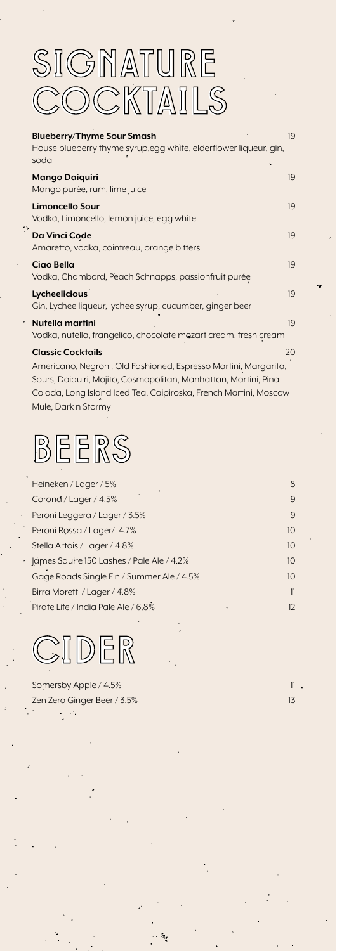## SIGNATURE SIGNATURE COCKTAILS COCKTAILS

| <b>Blueberry/Thyme Sour Smash</b>                                                  | 19 |
|------------------------------------------------------------------------------------|----|
| House blueberry thyme syrup, egg white, elderflower liqueur, gin,<br>soda          |    |
| <b>Mango Daiguiri</b><br>Mango purée, rum, lime juice                              | 19 |
| <b>Limoncello Sour</b><br>Vodka, Limoncello, lemon juice, egg white                | 19 |
| Da Vinci Code<br>Amaretto, vodka, cointreau, orange bitters                        | 19 |
| Ciao Bella<br>Vodka, Chambord, Peach Schnapps, passionfruit purée                  | 19 |
| Lycheelicious<br>Gin, Lychee liqueur, lychee syrup, cucumber, ginger beer          | 19 |
| Nutella martini<br>Vodka, nutella, frangelico, chocolate mozart cream, fresh cream | 19 |
| <b>Classic Cocktails</b>                                                           | 20 |
| Americano, Negroni, Old Fashioned, Espresso Martini, Margarita,                    |    |
| Sours, Daiquiri, Mojito, Cosmopolitan, Manhattan, Martini, Pina                    |    |
| Colada, Long Island Iced Tea, Caipiroska, French Martini, Moscow                   |    |

BEERS BEERS

Mule, Dark n Stormy

| Heineken / Lager / 5%                     | 8               |
|-------------------------------------------|-----------------|
| ٠<br>Corond / Lager / 4.5%                | 9               |
| Peroni Leggera / Lager / 3.5%             | $\mathsf{Q}$    |
| Peroni Rossa / Lager/ 4.7%                | 10 <sup>2</sup> |
| Stella Artois / Lager / 4.8%              | 10 <sup>2</sup> |
| James Squire 150 Lashes / Pale Ale / 4.2% | 10 <sup>2</sup> |
| Gage Roads Single Fin / Summer Ale / 4.5% | 10 <sup>2</sup> |
| Birra Moretti / Lager / 4.8%              | 11              |
| Pirate Life / India Pale Ale / 6.8%<br>٠  | 12              |

CIDER CIDER

Somersby Apple / 4.5% Zen Zero Ginger Beer / 3.5% 13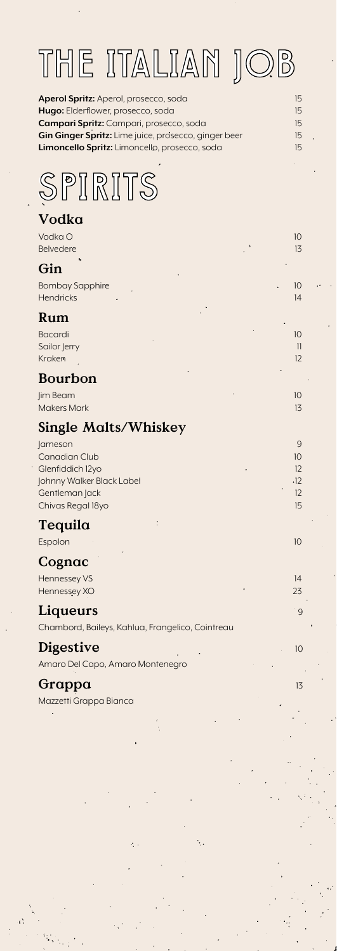# THE ITALIAN JOB THE ITALIAN JOB

| Aperol Spritz: Aperol, prosecco, soda                | 15 |
|------------------------------------------------------|----|
| Hugo: Elderflower, prosecco, soda                    | 15 |
| <b>Campari Spritz:</b> Campari, prosecco, soda       | 15 |
| Gin Ginger Spritz: Lime juice, prosecco, ginger beer | 15 |
| <b>Limoncello Spritz:</b> Limoncello, prosecco, soda | 15 |
|                                                      |    |



### Vodka

| Vodka O<br><b>Belvedere</b>                                                                                                    | 10<br>13                         |
|--------------------------------------------------------------------------------------------------------------------------------|----------------------------------|
| Gin                                                                                                                            |                                  |
| <b>Bombay Sapphire</b><br>Hendricks                                                                                            | 10<br>14                         |
| Rum                                                                                                                            |                                  |
| Bacardi<br>Sailor Jerry<br>Kraken                                                                                              | 10<br>11<br>12                   |
| Bourbon                                                                                                                        |                                  |
| Jim Beam<br><b>Makers Mark</b>                                                                                                 | 10<br>13                         |
| <b>Single Malts/Whiskey</b>                                                                                                    |                                  |
| <b>Jameson</b><br><b>Canadian Club</b><br>Glenfiddich 12yo<br>Johnny Walker Black Label<br>Gentleman Jack<br>Chivas Regal 18yo | 9<br>10<br>12<br>.12<br>12<br>15 |
| Tequila                                                                                                                        |                                  |
| Espolon                                                                                                                        | 10                               |
| Cognac                                                                                                                         |                                  |
| Hennessey VS<br>Hennessey XO                                                                                                   | 14<br>23                         |
| Liqueurs                                                                                                                       | 9                                |
| Chambord, Baileys, Kahlua, Frangelico, Cointreau                                                                               |                                  |
| <b>Digestive</b><br>Amaro Del Capo, Amaro Montenegro                                                                           | 10                               |
| Grappa                                                                                                                         | 13                               |
| Mazzetti Grappa Bianca                                                                                                         |                                  |
|                                                                                                                                |                                  |